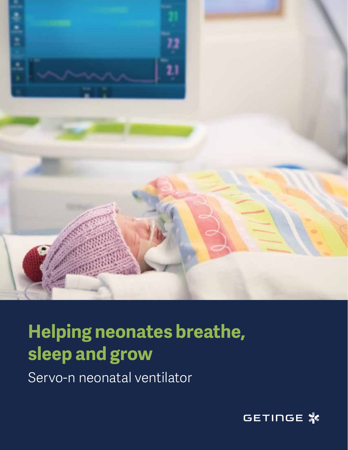

### **Helping neonates breathe, sleep and grow**

Servo-n neonatal ventilator

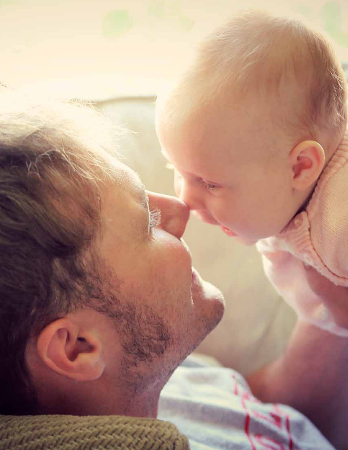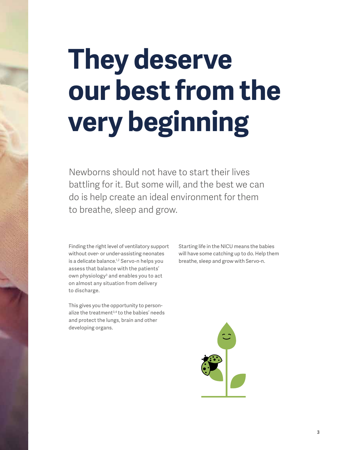# **They deserve our best from the very beginning**

Newborns should not have to start their lives battling for it. But some will, and the best we can do is help create an ideal environment for them to breathe, sleep and grow.

Finding the right level of ventilatory support without over- or under-assisting neonates is a delicate balance.<sup>1,2</sup> Servo-n helps you assess that balance with the patients' own physiology<sup>3</sup> and enables you to act on almost any situation from delivery to discharge.

This gives you the opportunity to personalize the treatment<sup>3,4</sup> to the babies' needs and protect the lungs, brain and other developing organs.

Starting life in the NICU means the babies will have some catching up to do. Help them breathe, sleep and grow with Servo-n.

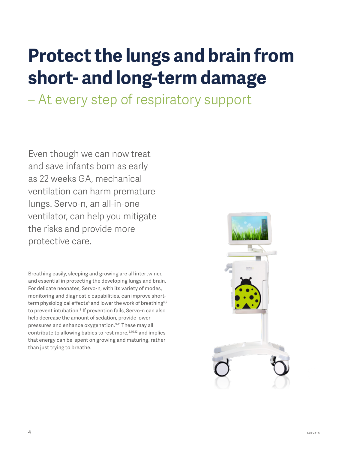### **Protect the lungs and brain from short- and long-term damage**

– At every step of respiratory support

Even though we can now treat and save infants born as early as 22 weeks GA, mechanical ventilation can harm premature lungs. Servo-n, an all-in-one ventilator, can help you mitigate the risks and provide more protective care.

Breathing easily, sleeping and growing are all intertwined and essential in protecting the developing lungs and brain. For delicate neonates, Servo-n, with its variety of modes, monitoring and diagnostic capabilities, can improve shortterm physiological effects $^5$  and lower the work of breathing $^{6,7}$ to prevent intubation.8 If prevention fails, Servo-n can also help decrease the amount of sedation, provide lower pressures and enhance oxygenation.9-11 These may all contribute to allowing babies to rest more,5,10,12 and implies that energy can be spent on growing and maturing, rather than just trying to breathe.

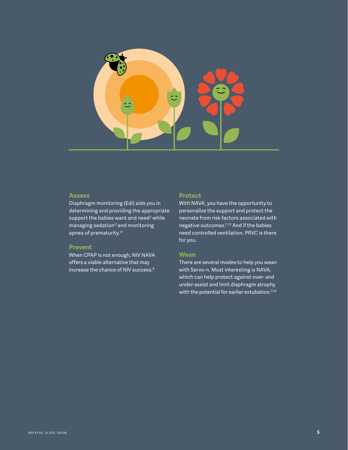

#### **Assess**

Diaphragm monitoring (Edi) aids you in determining and providing the appropriate support the babies want and need $^{\rm 3}$  while managing sedation $13$  and monitoring apnea of prematurity.14

#### **Prevent**

When CPAP is not enough, NIV NAVA offers a viable alternative that may increase the chance of NIV success.8

#### **Protect**

With NAVA, you have the opportunity to personalize the support and protect the neonate from risk factors associated with negative outcomes.11,12 And if the babies need controlled ventilation, PRVC is there for you.

#### **Wean**

There are several modes to help you wean with Servo-n. Most interesting is NAVA, which can help protect against over- and under-assist and limit diaphragm atrophy with the potential for earlier extubation.<sup>1,2,8</sup>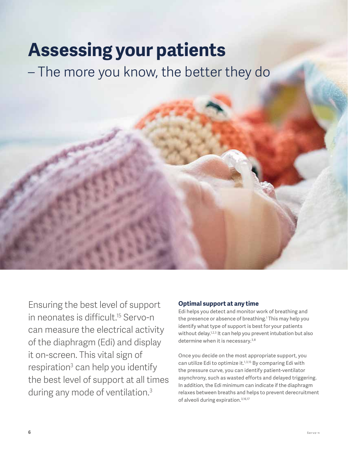### **Assessing your patients**

– The more you know, the better they do

Ensuring the best level of support in neonates is difficult.15 Servo-n can measure the electrical activity of the diaphragm (Edi) and display it on-screen. This vital sign of respiration<sup>3</sup> can help you identify the best level of support at all times during any mode of ventilation.<sup>3</sup>

#### **Optimal support at any time**

Edi helps you detect and monitor work of breathing and the presence or absence of breathing.1 This may help you identify what type of support is best for your patients without delay.<sup>1,2,3</sup> It can help you prevent intubation but also determine when it is necessary.<sup>3,8</sup>

Once you decide on the most appropriate support, you can utilize Edi to optimize it.<sup>1,3,15</sup> By comparing Edi with the pressure curve, you can identify patient-ventilator asynchrony, such as wasted efforts and delayed triggering. In addition, the Edi minimum can indicate if the diaphragm relaxes between breaths and helps to prevent derecruitment of alveoli during expiration.<sup>3,16,17</sup>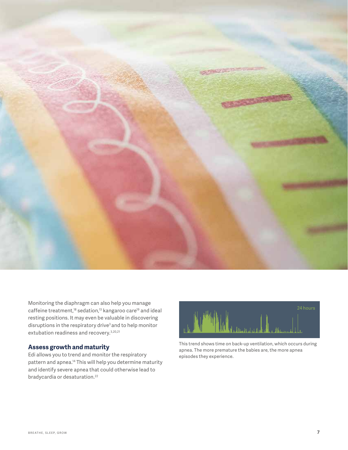

Monitoring the diaphragm can also help you manage caffeine treatment,<sup>18</sup> sedation,<sup>13</sup> kangaroo care<sup>19</sup> and ideal resting positions. It may even be valuable in discovering disruptions in the respiratory drive<sup>3</sup> and to help monitor extubation readiness and recovery.<sup>3,20,21</sup>

#### **Assess growth and maturity**

Edi allows you to trend and monitor the respiratory pattern and apnea.14 This will help you determine maturity and identify severe apnea that could otherwise lead to bradycardia or desaturation.<sup>22</sup>



This trend shows time on back-up ventilation, which occurs during apnea. The more premature the babies are, the more apnea episodes they experience.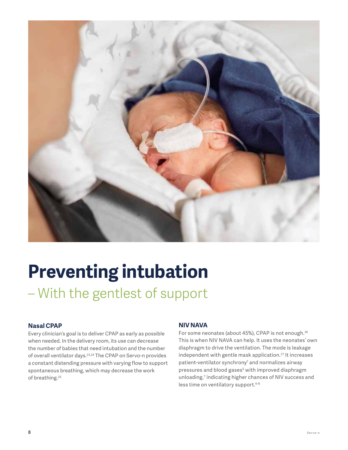

### **Preventing intubation**  – With the gentlest of support

#### **Nasal CPAP**

Every clinician's goal is to deliver CPAP as early as possible when needed. In the delivery room, its use can decrease the number of babies that need intubation and the number of overall ventilator days.23,24 The CPAP on Servo-n provides a constant distending pressure with varying flow to support spontaneous breathing, which may decrease the work of breathing.<sup>25</sup>

#### **NIV NAVA**

For some neonates (about 45%), CPAP is not enough.<sup>26</sup> This is when NIV NAVA can help. It uses the neonates' own diaphragm to drive the ventilation. The mode is leakage independent with gentle mask application.<sup>27</sup> It increases patient-ventilator synchrony<sup>7</sup> and normalizes airway pressures and blood gases<sup>5</sup> with improved diaphragm unloading,7 indicating higher chances of NIV success and less time on ventilatory support.<sup>6-8</sup>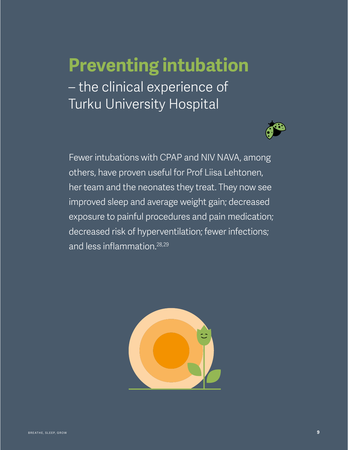### **Preventing intubation**

– the clinical experience of Turku University Hospital



Fewer intubations with CPAP and NIV NAVA, among others, have proven useful for Prof Liisa Lehtonen, her team and the neonates they treat. They now see improved sleep and average weight gain; decreased exposure to painful procedures and pain medication; decreased risk of hyperventilation; fewer infections; and less inflammation.28,29

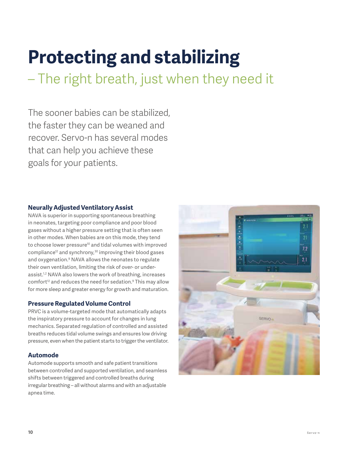## **Protecting and stabilizing**

### – The right breath, just when they need it

The sooner babies can be stabilized, the faster they can be weaned and recover. Servo-n has several modes that can help you achieve these goals for your patients.

#### **Neurally Adjusted Ventilatory Assist**

NAVA is superior in supporting spontaneous breathing in neonates, targeting poor compliance and poor blood gases without a higher pressure setting that is often seen in other modes. When babies are on this mode, they tend to choose lower pressure<sup>10</sup> and tidal volumes with improved compliance<sup>12</sup> and synchrony,<sup>30</sup> improving their blood gases and oxygenation.<sup>9</sup> NAVA allows the neonates to regulate their own ventilation, limiting the risk of over- or underassist.<sup>1,2</sup> NAVA also lowers the work of breathing, increases comfort<sup>12</sup> and reduces the need for sedation.<sup>9</sup> This may allow for more sleep and greater energy for growth and maturation.

#### **Pressure Regulated Volume Control**

PRVC is a volume-targeted mode that automatically adapts the inspiratory pressure to account for changes in lung mechanics. Separated regulation of controlled and assisted breaths reduces tidal volume swings and ensures low driving pressure, even when the patient starts to trigger the ventilator.

#### **Automode**

Automode supports smooth and safe patient transitions between controlled and supported ventilation, and seamless shifts between triggered and controlled breaths during irregular breathing – all without alarms and with an adjustable apnea time.

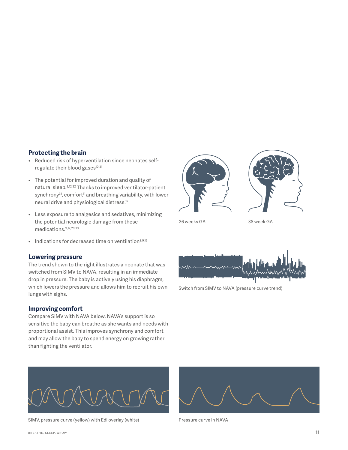#### **Protecting the brain**

- Reduced risk of hyperventilation since neonates selfregulate their blood gases<sup>10,31</sup>
- The potential for improved duration and quality of natural sleep.9,12,32 Thanks to improved ventilator-patient synchrony<sup>31</sup>, comfort<sup>11</sup> and breathing variability, with lower neural drive and physiological distress.12
- Less exposure to analgesics and sedatives, minimizing the potential neurologic damage from these medications.9,12,29,33
- $\bullet$  Indications for decreased time on ventilation<sup>8,9,12</sup>

#### **Lowering pressure**

The trend shown to the right illustrates a neonate that was switched from SIMV to NAVA, resulting in an immediate drop in pressure. The baby is actively using his diaphragm, which lowers the pressure and allows him to recruit his own lungs with sighs.

#### **Improving comfort**

Compare SIMV with NAVA below. NAVA's support is so sensitive the baby can breathe as she wants and needs with proportional assist. This improves synchrony and comfort and may allow the baby to spend energy on growing rather than fighting the ventilator.



SIMV, pressure curve (yellow) with Edi overlay (white)





26 weeks GA 38 week GA



Switch from SIMV to NAVA (pressure curve trend)



Pressure curve in NAVA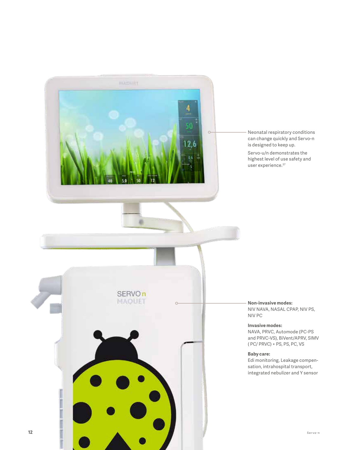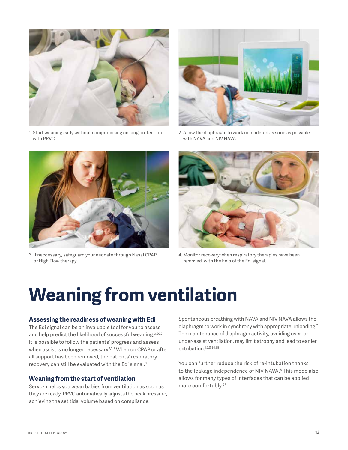

1. Start weaning early without compromising on lung protection with PRVC.



2. Allow the diaphragm to work unhindered as soon as possible with NAVA and NIV NAVA.



3. If neccessary, safeguard your neonate through Nasal CPAP or High Flow therapy.



4. Monitor recovery when respiratory therapies have been removed, with the help of the Edi signal.

### **Weaning from ventilation**

#### **Assessing the readiness of weaning with Edi**

The Edi signal can be an invaluable tool for you to assess and help predict the likelihood of successful weaning.<sup>3,20,21</sup> It is possible to follow the patients' progress and assess when assist is no longer necessary.<sup>1,2,3</sup> When on CPAP or after all support has been removed, the patients' respiratory recovery can still be evaluated with the Edi signal.<sup>3</sup>

#### **Weaning from the start of ventilation**

Servo-n helps you wean babies from ventilation as soon as they are ready. PRVC automatically adjusts the peak pressure, achieving the set tidal volume based on compliance.

Spontaneous breathing with NAVA and NIV NAVA allows the diaphragm to work in synchrony with appropriate unloading.<sup>7</sup> The maintenance of diaphragm activity, avoiding over- or under-assist ventilation, may limit atrophy and lead to earlier  $extubation<sup>1,2,8,34,35</sup>$ 

You can further reduce the risk of re-intubation thanks to the leakage independence of NIV NAVA.<sup>8</sup> This mode also allows for many types of interfaces that can be applied more comfortably.27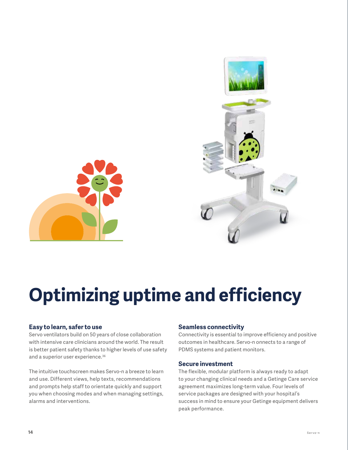

# **Optimizing uptime and efficiency**

#### **Easy to learn, safer to use**

Servo ventilators build on 50 years of close collaboration with intensive care clinicians around the world. The result is better patient safety thanks to higher levels of use safety and a superior user experience.<sup>36</sup>

The intuitive touchscreen makes Servo-n a breeze to learn and use. Different views, help texts, recommendations and prompts help staff to orientate quickly and support you when choosing modes and when managing settings, alarms and interventions.

#### **Seamless connectivity**

Connectivity is essential to improve efficiency and positive outcomes in healthcare. Servo-n onnects to a range of PDMS systems and patient monitors.

#### **Secure investment**

The flexible, modular platform is always ready to adapt to your changing clinical needs and a Getinge Care service agreement maximizes long-term value. Four levels of service packages are designed with your hospital's success in mind to ensure your Getinge equipment delivers peak performance.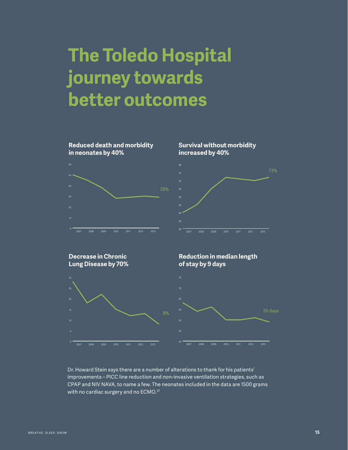### **The Toledo Hospital journey towards better outcomes**



Dr. Howard Stein says there are a number of alterations to thank for his patients' improvements – PICC line reduction and non-invasive ventilation strategies, such as CPAP and NIV NAVA, to name a few. The neonates included in the data are 1500 grams with no cardiac surgery and no ECMO.<sup>37</sup>